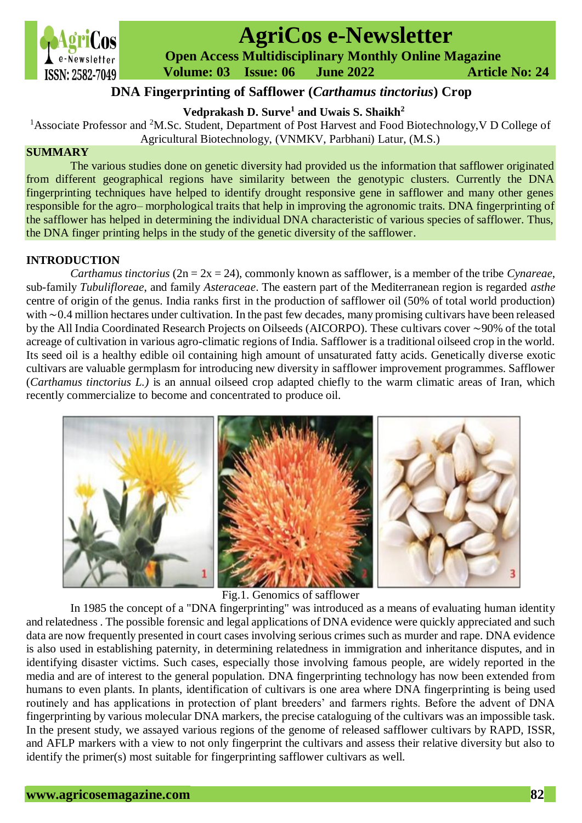

# **AgriCos e-Newsletter**

 **Open Access Multidisciplinary Monthly Online Magazine**

 **Volume: 03 Issue: 06 June 2022 Article No: 24**

# **DNA Fingerprinting of Safflower (***Carthamus tinctorius***) Crop**

**Vedprakash D. Surve<sup>1</sup> and Uwais S. Shaikh<sup>2</sup>** 

<sup>1</sup>Associate Professor and <sup>2</sup>M.Sc. Student, Department of Post Harvest and Food Biotechnology, V D College of Agricultural Biotechnology, (VNMKV, Parbhani) Latur, (M.S.)

## **SUMMARY**

The various studies done on genetic diversity had provided us the information that safflower originated from different geographical regions have similarity between the genotypic clusters. Currently the DNA fingerprinting techniques have helped to identify drought responsive gene in safflower and many other genes responsible for the agro– morphological traits that help in improving the agronomic traits. DNA fingerprinting of the safflower has helped in determining the individual DNA characteristic of various species of safflower. Thus, the DNA finger printing helps in the study of the genetic diversity of the safflower.

### **INTRODUCTION**

 *Carthamus tinctorius* (2n = 2x = 24), commonly known as safflower, is a member of the tribe *Cynareae*, sub-family *Tubulifloreae*, and family *Asteraceae*. The eastern part of the Mediterranean region is regarded *asthe* centre of origin of the genus. India ranks first in the production of safflower oil (50% of total world production) with ∼0.4 million hectares under cultivation. In the past few decades, many promising cultivars have been released by the All India Coordinated Research Projects on Oilseeds (AICORPO). These cultivars cover ∼90% of the total acreage of cultivation in various agro-climatic regions of India. Safflower is a traditional oilseed crop in the world. Its seed oil is a healthy edible oil containing high amount of unsaturated fatty acids. Genetically diverse exotic cultivars are valuable germplasm for introducing new diversity in safflower improvement programmes. Safflower (*Carthamus tinctorius L.)* is an annual oilseed crop adapted chiefly to the warm climatic areas of Iran, which recently commercialize to become and concentrated to produce oil.



Fig.1. Genomics of safflower

 In 1985 the concept of a "DNA fingerprinting" was introduced as a means of evaluating human identity and relatedness . The possible forensic and legal applications of DNA evidence were quickly appreciated and such data are now frequently presented in court cases involving serious crimes such as murder and rape. DNA evidence is also used in establishing paternity, in determining relatedness in immigration and inheritance disputes, and in identifying disaster victims. Such cases, especially those involving famous people, are widely reported in the media and are of interest to the general population. DNA fingerprinting technology has now been extended from humans to even plants. In plants, identification of cultivars is one area where DNA fingerprinting is being used routinely and has applications in protection of plant breeders' and farmers rights. Before the advent of DNA fingerprinting by various molecular DNA markers, the precise cataloguing of the cultivars was an impossible task. In the present study, we assayed various regions of the genome of released safflower cultivars by RAPD, ISSR, and AFLP markers with a view to not only fingerprint the cultivars and assess their relative diversity but also to identify the primer(s) most suitable for fingerprinting safflower cultivars as well.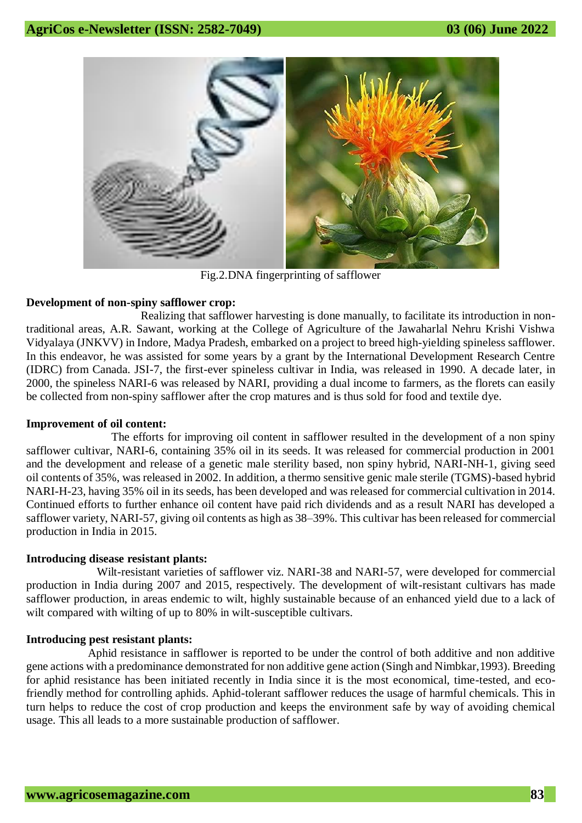

Fig.2.DNA fingerprinting of safflower

### **Development of non-spiny safflower crop:**

 Realizing that safflower harvesting is done manually, to facilitate its introduction in nontraditional areas, A.R. Sawant, working at the College of Agriculture of the Jawaharlal Nehru Krishi Vishwa Vidyalaya (JNKVV) in Indore, Madya Pradesh, embarked on a project to breed high-yielding spineless safflower. In this endeavor, he was assisted for some years by a grant by the International Development Research Centre (IDRC) from Canada. JSI-7, the first-ever spineless cultivar in India, was released in 1990. A decade later, in 2000, the spineless NARI-6 was released by NARI, providing a dual income to farmers, as the florets can easily be collected from non-spiny safflower after the crop matures and is thus sold for food and textile dye.

#### **Improvement of oil content:**

The efforts for improving oil content in safflower resulted in the development of a non spiny safflower cultivar, NARI-6, containing 35% oil in its seeds. It was released for commercial production in 2001 and the development and release of a genetic male sterility based, non spiny hybrid, NARI-NH-1, giving seed oil contents of 35%, was released in 2002. In addition, a thermo sensitive genic male sterile (TGMS)-based hybrid NARI-H-23, having 35% oil in its seeds, has been developed and was released for commercial cultivation in 2014. Continued efforts to further enhance oil content have paid rich dividends and as a result NARI has developed a safflower variety, NARI-57, giving oil contents as high as 38–39%. This cultivar has been released for commercial production in India in 2015.

#### **Introducing disease resistant plants:**

 Wilt-resistant varieties of safflower viz. NARI-38 and NARI-57, were developed for commercial production in India during 2007 and 2015, respectively. The development of wilt-resistant cultivars has made safflower production, in areas endemic to wilt, highly sustainable because of an enhanced yield due to a lack of wilt compared with wilting of up to 80% in wilt-susceptible cultivars.

#### **Introducing pest resistant plants:**

Aphid resistance in safflower is reported to be under the control of both additive and non additive gene actions with a predominance demonstrated for non additive gene action (Singh and Nimbkar,1993). Breeding for aphid resistance has been initiated recently in India since it is the most economical, time-tested, and ecofriendly method for controlling aphids. Aphid-tolerant safflower reduces the usage of harmful chemicals. This in turn helps to reduce the cost of crop production and keeps the environment safe by way of avoiding chemical usage. This all leads to a more sustainable production of safflower.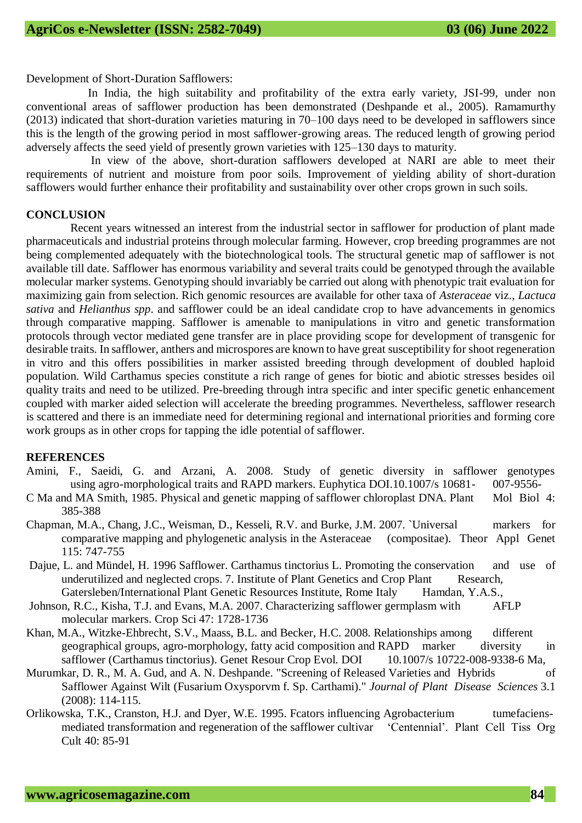Development of Short-Duration Safflowers:

 In India, the high suitability and profitability of the extra early variety, JSI-99, under non conventional areas of safflower production has been demonstrated [\(Deshpande et al., 2005\)](https://www.sciencedirect.com/science/article/pii/B9780128013090000070#bib0070). [Ramamurthy](https://www.sciencedirect.com/science/article/pii/B9780128013090000070#bib0225)  [\(2013\)](https://www.sciencedirect.com/science/article/pii/B9780128013090000070#bib0225) indicated that short-duration varieties maturing in 70–100 days need to be developed in safflowers since this is the length of the growing period in most safflower-growing areas. The reduced length of growing period adversely affects the seed yield of presently grown varieties with 125–130 days to maturity.

 In view of the above, short-duration safflowers developed at NARI are able to meet their requirements of nutrient and moisture from poor soils. Improvement of yielding ability of short-duration safflowers would further enhance their profitability and sustainability over other crops grown in such soils.

#### **CONCLUSION**

 Recent years witnessed an interest from the industrial sector in safflower for production of plant made pharmaceuticals and industrial proteins through molecular farming. However, crop breeding programmes are not being complemented adequately with the biotechnological tools. The structural genetic map of safflower is not available till date. Safflower has enormous variability and several traits could be genotyped through the available molecular marker systems. Genotyping should invariably be carried out along with phenotypic trait evaluation for maximizing gain from selection. Rich genomic resources are available for other taxa of *Asteraceae* viz., *Lactuca sativa* and *Helianthus spp*. and safflower could be an ideal candidate crop to have advancements in genomics through comparative mapping. Safflower is amenable to manipulations in vitro and genetic transformation protocols through vector mediated gene transfer are in place providing scope for development of transgenic for desirable traits. In safflower, anthers and microspores are known to have great susceptibility for shoot regeneration in vitro and this offers possibilities in marker assisted breeding through development of doubled haploid population. Wild Carthamus species constitute a rich range of genes for biotic and abiotic stresses besides oil quality traits and need to be utilized. Pre-breeding through intra specific and inter specific genetic enhancement coupled with marker aided selection will accelerate the breeding programmes. Nevertheless, safflower research is scattered and there is an immediate need for determining regional and international priorities and forming core work groups as in other crops for tapping the idle potential of safflower.

#### **REFERENCES**

- Amini, F., Saeidi, G. and Arzani, A. 2008. Study of genetic diversity in safflower genotypes using agro-morphological traits and RAPD markers. Euphytica DOI.10.1007/s 10681- 007-9556-
- C Ma and MA Smith, 1985. Physical and genetic mapping of safflower chloroplast DNA. Plant Mol Biol 4: 385-388
- Chapman, M.A., Chang, J.C., Weisman, D., Kesseli, R.V. and Burke, J.M. 2007. `Universal markers for comparative mapping and phylogenetic analysis in the Asteraceae (compositae). Theor Appl Genet 115: 747-755
- Dajue, L. and Mündel, H. 1996 Safflower. Carthamus tinctorius L. Promoting the conservation and use of underutilized and neglected crops. 7. Institute of Plant Genetics and Crop Plant Research, Gatersleben/International Plant Genetic Resources Institute, Rome Italy Hamdan, Y.A.S.,
- Johnson, R.C., Kisha, T.J. and Evans, M.A. 2007. Characterizing safflower germplasm with AFLP molecular markers. Crop Sci 47: 1728-1736
- Khan, M.A., Witzke-Ehbrecht, S.V., Maass, B.L. and Becker, H.C. 2008. Relationships among different geographical groups, agro-morphology, fatty acid composition and RAPD marker diversity in safflower (Carthamus tinctorius). Genet Resour Crop Evol. DOI 10.1007/s 10722-008-9338-6 Ma,
- Murumkar, D. R., M. A. Gud, and A. N. Deshpande. "Screening of Released Varieties and Hybrids of Safflower Against Wilt (Fusarium Oxysporvm f. Sp. Carthami)." *Journal of Plant Disease Sciences* 3.1 (2008): 114-115.
- Orlikowska, T.K., Cranston, H.J. and Dyer, W.E. 1995. Fcators influencing Agrobacterium tumefaciensmediated transformation and regeneration of the safflower cultivar 'Centennial'. Plant Cell Tiss Org Cult 40: 85-91